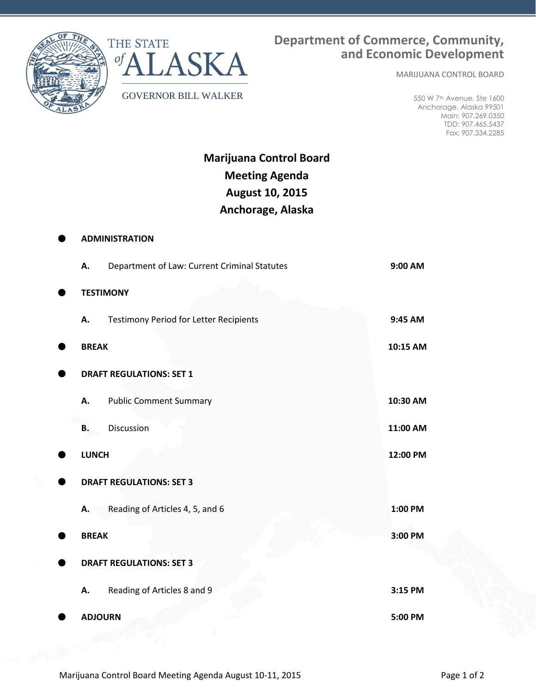

**ADMINISTRATION**



MARIJUANA CONTROL BOARD

550 W 7th Avenue, Ste 1600 Anchorage, Alaska 99501 Main: 907.269.0350 TDD: 907.465.5437 Fax: 907.334.2285

**Marijuana Control Board Meeting Agenda August 10, 2015 Anchorage, Alaska**

| А.             | Department of Law: Current Criminal Statutes  | 9:00 AM  |
|----------------|-----------------------------------------------|----------|
|                | <b>TESTIMONY</b>                              |          |
| А.             | <b>Testimony Period for Letter Recipients</b> | 9:45 AM  |
| <b>BREAK</b>   |                                               | 10:15 AM |
|                | <b>DRAFT REGULATIONS: SET 1</b>               |          |
| А.             | <b>Public Comment Summary</b>                 | 10:30 AM |
| Β.             | Discussion                                    | 11:00 AM |
| <b>LUNCH</b>   |                                               | 12:00 PM |
|                | <b>DRAFT REGULATIONS: SET 3</b>               |          |
| А.             | Reading of Articles 4, 5, and 6               | 1:00 PM  |
| <b>BREAK</b>   |                                               | 3:00 PM  |
|                | <b>DRAFT REGULATIONS: SET 3</b>               |          |
| А.             | Reading of Articles 8 and 9                   | 3:15 PM  |
| <b>ADJOURN</b> |                                               | 5:00 PM  |